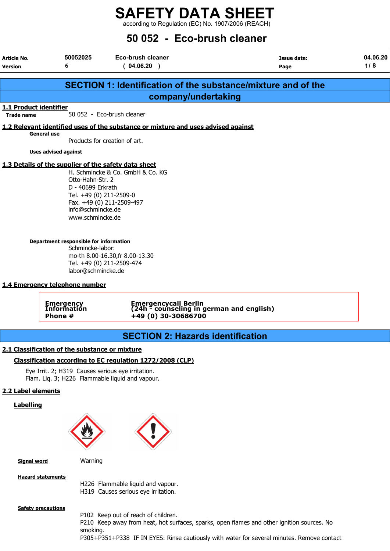according to Regulation (EC) No. 1907/2006 (REACH)

## 50 052 - Eco-brush cleaner

| Article No.<br><b>Version</b>                                                                                                                                                                                                      | 50052025<br>6                                                                                                                                    | Eco-brush cleaner<br>(04.06.20)                                                   | Issue date:<br>Page                                                                                                                                                                      | 04.06.20<br>1/8 |  |  |
|------------------------------------------------------------------------------------------------------------------------------------------------------------------------------------------------------------------------------------|--------------------------------------------------------------------------------------------------------------------------------------------------|-----------------------------------------------------------------------------------|------------------------------------------------------------------------------------------------------------------------------------------------------------------------------------------|-----------------|--|--|
|                                                                                                                                                                                                                                    |                                                                                                                                                  |                                                                                   |                                                                                                                                                                                          |                 |  |  |
|                                                                                                                                                                                                                                    |                                                                                                                                                  |                                                                                   | <b>SECTION 1: Identification of the substance/mixture and of the</b>                                                                                                                     |                 |  |  |
|                                                                                                                                                                                                                                    |                                                                                                                                                  | company/undertaking                                                               |                                                                                                                                                                                          |                 |  |  |
| 1.1 Product identifier<br><b>Trade name</b>                                                                                                                                                                                        |                                                                                                                                                  | 50 052 - Eco-brush cleaner                                                        |                                                                                                                                                                                          |                 |  |  |
|                                                                                                                                                                                                                                    | <b>General use</b>                                                                                                                               | 1.2 Relevant identified uses of the substance or mixture and uses advised against |                                                                                                                                                                                          |                 |  |  |
|                                                                                                                                                                                                                                    |                                                                                                                                                  | Products for creation of art.                                                     |                                                                                                                                                                                          |                 |  |  |
|                                                                                                                                                                                                                                    | <b>Uses advised against</b>                                                                                                                      |                                                                                   |                                                                                                                                                                                          |                 |  |  |
| 1.3 Details of the supplier of the safety data sheet<br>H. Schmincke & Co. GmbH & Co. KG<br>Otto-Hahn-Str. 2<br>D - 40699 Erkrath<br>Tel. +49 (0) 211-2509-0<br>Fax. +49 (0) 211-2509-497<br>info@schmincke.de<br>www.schmincke.de |                                                                                                                                                  |                                                                                   |                                                                                                                                                                                          |                 |  |  |
|                                                                                                                                                                                                                                    | Department responsible for information<br>Schmincke-labor:<br>mo-th 8.00-16.30, fr 8.00-13.30<br>Tel. +49 (0) 211-2509-474<br>labor@schmincke.de |                                                                                   |                                                                                                                                                                                          |                 |  |  |
|                                                                                                                                                                                                                                    | 1.4 Emergency telephone number                                                                                                                   |                                                                                   |                                                                                                                                                                                          |                 |  |  |
|                                                                                                                                                                                                                                    | <b>Emergency</b><br>Information                                                                                                                  | Emergencycall Berlin<br>(24h - counseling in german and english)                  |                                                                                                                                                                                          |                 |  |  |
|                                                                                                                                                                                                                                    | Phone #                                                                                                                                          | +49 (0) 30-30686700                                                               |                                                                                                                                                                                          |                 |  |  |
|                                                                                                                                                                                                                                    |                                                                                                                                                  | <b>SECTION 2: Hazards identification</b>                                          |                                                                                                                                                                                          |                 |  |  |
|                                                                                                                                                                                                                                    | 2.1 Classification of the substance or mixture                                                                                                   |                                                                                   |                                                                                                                                                                                          |                 |  |  |
|                                                                                                                                                                                                                                    |                                                                                                                                                  | Classification according to EC regulation 1272/2008 (CLP)                         |                                                                                                                                                                                          |                 |  |  |
|                                                                                                                                                                                                                                    | Eye Irrit. 2; H319 Causes serious eye irritation.                                                                                                | Flam. Liq. 3; H226 Flammable liquid and vapour.                                   |                                                                                                                                                                                          |                 |  |  |
| 2.2 Label elements                                                                                                                                                                                                                 |                                                                                                                                                  |                                                                                   |                                                                                                                                                                                          |                 |  |  |
| <b>Labelling</b>                                                                                                                                                                                                                   |                                                                                                                                                  |                                                                                   |                                                                                                                                                                                          |                 |  |  |
|                                                                                                                                                                                                                                    |                                                                                                                                                  |                                                                                   |                                                                                                                                                                                          |                 |  |  |
| <b>Signal word</b>                                                                                                                                                                                                                 | Warning                                                                                                                                          |                                                                                   |                                                                                                                                                                                          |                 |  |  |
|                                                                                                                                                                                                                                    | <b>Hazard statements</b>                                                                                                                         | H226 Flammable liquid and vapour.<br>H319 Causes serious eye irritation.          |                                                                                                                                                                                          |                 |  |  |
|                                                                                                                                                                                                                                    | <b>Safety precautions</b><br>smoking.                                                                                                            | P102 Keep out of reach of children.                                               | P210 Keep away from heat, hot surfaces, sparks, open flames and other ignition sources. No<br>P305+P351+P338 IF IN EYES: Rinse cautiously with water for several minutes. Remove contact |                 |  |  |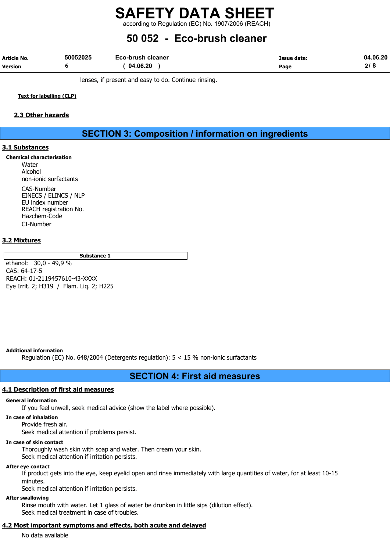according to Regulation (EC) No. 1907/2006 (REACH)

## 50 052 - Eco-brush cleaner

| Article No.    | 50052025 | Eco-brush cleaner | Issue date: | 04.06.20 |
|----------------|----------|-------------------|-------------|----------|
| <b>Version</b> |          | 04.06.20          | Page        |          |

lenses, if present and easy to do. Continue rinsing.

Text for labelling (CLP)

## 2.3 Other hazards

## SECTION 3: Composition / information on ingredients

## 3.1 Substances

Chemical characterisation Water

Alcohol non-ionic surfactants CAS-Number EINECS / ELINCS / NLP EU index number REACH registration No. Hazchem-Code CI-Number

## 3.2 Mixtures

Substance 1

ethanol: 30,0 - 49,9 % CAS: 64-17-5 REACH: 01-2119457610-43-XXXX Eye Irrit. 2; H319 / Flam. Liq. 2; H225

#### Additional information

Regulation (EC) No. 648/2004 (Detergents regulation): 5 < 15 % non-ionic surfactants

## SECTION 4: First aid measures

## 4.1 Description of first aid measures

#### General information

If you feel unwell, seek medical advice (show the label where possible).

#### In case of inhalation

Provide fresh air.

Seek medical attention if problems persist.

## In case of skin contact

Thoroughly wash skin with soap and water. Then cream your skin. Seek medical attention if irritation persists.

#### After eye contact

If product gets into the eye, keep eyelid open and rinse immediately with large quantities of water, for at least 10-15 minutes.

Seek medical attention if irritation persists.

## After swallowing

Rinse mouth with water. Let 1 glass of water be drunken in little sips (dilution effect). Seek medical treatment in case of troubles.

## 4.2 Most important symptoms and effects, both acute and delayed

No data available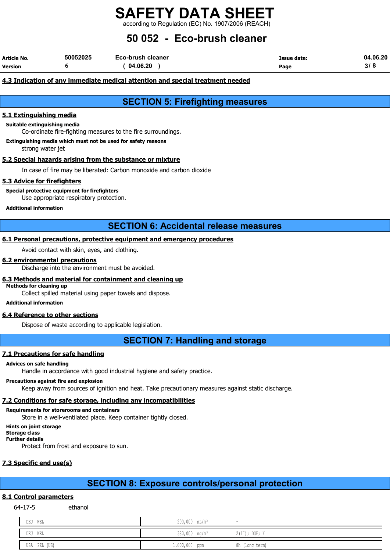according to Regulation (EC) No. 1907/2006 (REACH)

## 50 052 - Eco-brush cleaner

| <b>Article No.</b> | 50052025 | Eco-brush cleaner | Issue date: | 04.06.20 |
|--------------------|----------|-------------------|-------------|----------|
| <b>Version</b>     |          | 04.06.20          | Page        | י פ      |

## 4.3 Indication of any immediate medical attention and special treatment needed

SECTION 5: Firefighting measures

## 5.1 Extinguishing media

### Suitable extinguishing media

Co-ordinate fire-fighting measures to the fire surroundings.

Extinguishing media which must not be used for safety reasons

strong water jet

## 5.2 Special hazards arising from the substance or mixture

In case of fire may be liberated: Carbon monoxide and carbon dioxide

## 5.3 Advice for firefighters

Special protective equipment for firefighters

Use appropriate respiratory protection.

### Additional information

SECTION 6: Accidental release measures

## 6.1 Personal precautions, protective equipment and emergency procedures

Avoid contact with skin, eyes, and clothing.

## 6.2 environmental precautions

Discharge into the environment must be avoided.

## 6.3 Methods and material for containment and cleaning up

Methods for cleaning up

Collect spilled material using paper towels and dispose.

## Additional information

## 6.4 Reference to other sections

Dispose of waste according to applicable legislation.

SECTION 7: Handling and storage

## 7.1 Precautions for safe handling

#### Advices on safe handling

Handle in accordance with good industrial hygiene and safety practice.

## Precautions against fire and explosion

Keep away from sources of ignition and heat. Take precautionary measures against static discharge.

## 7.2 Conditions for safe storage, including any incompatibilities

## Requirements for storerooms and containers

Store in a well-ventilated place. Keep container tightly closed.

## Hints on joint storage

Storage class Further details

Protect from frost and exposure to sun.

## 7.3 Specific end use(s)

## SECTION 8: Exposure controls/personal protection

## 8.1 Control parameters

64-17-5 ethanol

| DEU     | I MEL        | $200,000$ $mL/m^3$        |                 |
|---------|--------------|---------------------------|-----------------|
| DEU WEL |              | 380,000 mg/m <sup>3</sup> | $2(II);$ DGF; Y |
|         | USA PEL (US) | $1.000,000$ ppm           | 8h (long term)  |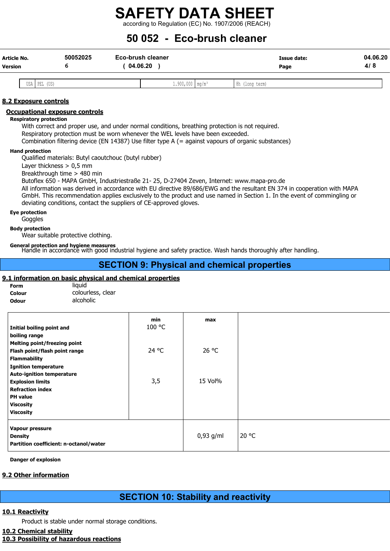according to Regulation (EC) No. 1907/2006 (REACH)

## 50 052 - Eco-brush cleaner

| Article No.<br><b>Version</b> | 50052025 | <b>Eco-brush cleaner</b><br>04.06.20 | Issue date:<br>Page | 04.06.20<br>8<br>41 |
|-------------------------------|----------|--------------------------------------|---------------------|---------------------|
|                               |          |                                      |                     |                     |

USA PEL (US) 1.900,000 mg/m³ 8h (long term)

## 8.2 Exposure controls

### Occupational exposure controls

#### Respiratory protection

With correct and proper use, and under normal conditions, breathing protection is not required. Respiratory protection must be worn whenever the WEL levels have been exceeded. Combination filtering device (EN 14387) Use filter type A (= against vapours of organic substances)

#### Hand protection

Qualified materials: Butyl caoutchouc (butyl rubber)

Layer thickness > 0,5 mm

Breakthrough time > 480 min

Butoflex 650 - MAPA GmbH, Industriestraße 21- 25, D-27404 Zeven, Internet: www.mapa-pro.de

All information was derived in accordance with EU directive 89/686/EWG and the resultant EN 374 in cooperation with MAPA GmbH. This recommendation applies exclusively to the product and use named in Section 1. In the event of commingling or deviating conditions, contact the suppliers of CE-approved gloves.

#### Eye protection

Goggles

#### Body protection

Wear suitable protective clothing.

General protection and hygiene measures<br>Handle in accordance with good industrial hygiene and safety practice. Wash hands thoroughly after handling.

## SECTION 9: Physical and chemical properties

## 9.1 information on basic physical and chemical properties

| <b>Form</b>  | liquid            |
|--------------|-------------------|
| Colour       | colourless, clear |
| <b>Odour</b> | alcoholic         |

| Initial boiling point and<br>boiling range                                                  | min<br>100 °C | max         |       |
|---------------------------------------------------------------------------------------------|---------------|-------------|-------|
| <b>Melting point/freezing point</b><br>Flash point/flash point range<br><b>Flammability</b> | 24 °C         | 26 °C       |       |
| <b>Ignition temperature</b><br><b>Auto-ignition temperature</b><br><b>Explosion limits</b>  | 3,5           | 15 Vol%     |       |
| <b>Refraction index</b><br><b>PH</b> value<br><b>Viscosity</b>                              |               |             |       |
| <b>Viscosity</b>                                                                            |               |             |       |
| Vapour pressure<br><b>Density</b><br>Partition coefficient: n-octanol/water                 |               | $0,93$ g/ml | 20 °C |

Danger of explosion

## 9.2 Other information

## SECTION 10: Stability and reactivity

## 10.1 Reactivity

Product is stable under normal storage conditions.

## 10.2 Chemical stability

10.3 Possibility of hazardous reactions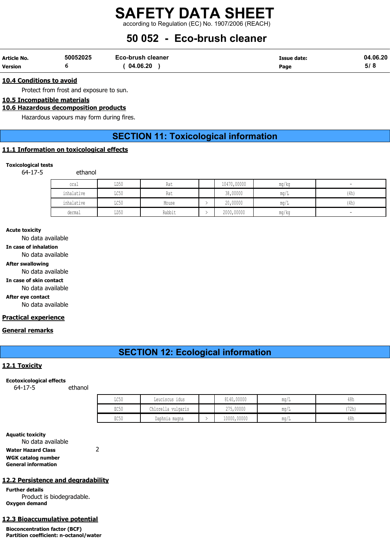## SAFETY DATA SHEET according to Regulation (EC) No. 1907/2006 (REACH)

## 50 052 - Eco-brush cleaner

| Article No.    | 50052025 | <b>Eco-brush cleaner</b> | Issue date: | 04.06.20 |
|----------------|----------|--------------------------|-------------|----------|
| <b>Version</b> |          | 04.06.20                 | Page        | ס וכ     |

#### 10.4 Conditions to avoid

Protect from frost and exposure to sun.

10.5 Incompatible materials

### 10.6 Hazardous decomposition products

Hazardous vapours may form during fires.

## SECTION 11: Toxicological information

## 11.1 Information on toxicological effects

#### Toxicological tests

64-17-5 ethanol

| oral       | LD50                    | Rat    | 10470,00000 | mg/kg | $\overline{\phantom{a}}$ |
|------------|-------------------------|--------|-------------|-------|--------------------------|
| inhalative | $T \cap E \cap$<br>⊥∪J∪ | Rat    | 38,00000    | ma/L  | (4h)                     |
| inhalative | TOE0<br><b>UCJU</b>     | Mouse  | 20,00000    | mq/L  | (4h)                     |
| dermal     | LD50                    | Rabbit | 2000,00000  | mg/kg | $\overline{\phantom{a}}$ |

#### Acute toxicity

No data available

In case of inhalation

No data available

After swallowing

No data available

In case of skin contact

No data available

After eye contact

No data available

## Practical experience

#### General remarks

## SECTION 12: Ecological information

## 12.1 Toxicity

#### Ecotoxicological effects

64-17-5 ethanol

| LC50             | Leuciscus idus     | 8140,00000  | mq/L | 48h   |
|------------------|--------------------|-------------|------|-------|
| EC50             | Chlorella vulgaris | 275,00000   | ma/L | (72h) |
| EC <sub>50</sub> | Daphnia magna      | 10000,00000 | mq/L | 48h   |

#### Aquatic toxicity

No data available Water Hazard Class 2 WGK catalog number General information

### 12.2 Persistence and degradability

Further details Product is biodegradable. Oxygen demand

### 12.3 Bioaccumulative potential

Bioconcentration factor (BCF) Partition coefficient: n-octanol/water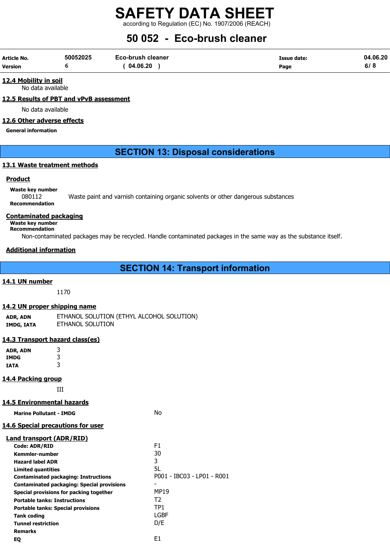according to Regulation (EC) No. 1907/2006 (REACH)

## 50 052 - Eco-brush cleaner

| Article No.    | 50052025 | Eco-brush cleaner | Issue date: | 04.06.20 |
|----------------|----------|-------------------|-------------|----------|
| <b>Version</b> |          | 04.06.20          | Page        | ס וס     |

12.4 Mobility in soil No data available

## 12.5 Results of PBT and vPvB assessment

No data available

## 12.6 Other adverse effects

General information

## SECTION 13: Disposal considerations

## 13.1 Waste treatment methods

## **Product**

Waste key number

080112 Waste paint and varnish containing organic solvents or other dangerous substances Recommendation

## Contaminated packaging

Waste key number

Recommendation

Non-contaminated packages may be recycled. Handle contaminated packages in the same way as the substance itself.

## Additional information

## SECTION 14: Transport information

## 14.1 UN number

1170

## 14.2 UN proper shipping name

ADR, ADN ETHANOL SOLUTION (ETHYL ALCOHOL SOLUTION) IMDG, IATA ETHANOL SOLUTION

## 14.3 Transport hazard class(es)

ADR, ADN 3 IMDG 3 IATA 3

## 14.4 Packing group

III

## 14.5 Environmental hazards

| <b>Marine Pollutant - IMDG</b>                    | No                         |
|---------------------------------------------------|----------------------------|
| <b>14.6 Special precautions for user</b>          |                            |
| Land transport (ADR/RID)                          |                            |
| Code: ADR/RID                                     | F1                         |
| Kemmler-number                                    | 30                         |
| <b>Hazard label ADR</b>                           | 3                          |
| Limited quantities                                | 5L                         |
| <b>Contaminated packaging: Instructions</b>       | P001 - IBC03 - LP01 - R001 |
| <b>Contaminated packaging: Special provisions</b> |                            |
| Special provisions for packing together           | MP19                       |
| <b>Portable tanks: Instructions</b>               | T2                         |
| <b>Portable tanks: Special provisions</b>         | TP1                        |
| Tank coding                                       | LGBF                       |
| <b>Tunnel restriction</b>                         | D/E                        |
| <b>Remarks</b>                                    |                            |
| EQ                                                | E1                         |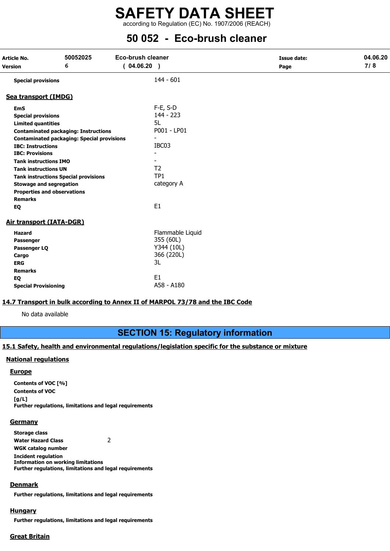according to Regulation (EC) No. 1907/2006 (REACH)

## 50 052 - Eco-brush cleaner

| 6<br>(04.06.20)<br>Version<br>Page<br>$144 - 601$<br><b>Special provisions</b><br>Sea transport (IMDG)<br>F-E, S-D<br><b>EmS</b><br>$144 - 223$<br><b>Special provisions</b><br>5L<br><b>Limited quantities</b><br>P001 - LP01<br><b>Contaminated packaging: Instructions</b><br><b>Contaminated packaging: Special provisions</b><br>IBC03<br><b>IBC: Instructions</b><br><b>IBC: Provisions</b><br><b>Tank instructions IMO</b><br>T <sub>2</sub><br><b>Tank instructions UN</b><br>TP1<br><b>Tank instructions Special provisions</b><br>category A<br><b>Stowage and segregation</b><br><b>Properties and observations</b><br><b>Remarks</b><br>E <sub>1</sub><br>EQ<br><b>Air transport (IATA-DGR)</b><br>Flammable Liquid<br><b>Hazard</b><br>355 (60L)<br>Passenger<br>Y344 (10L)<br>Passenger LQ<br>366 (220L)<br>Cargo | Article No. | 50052025 | Eco-brush cleaner | <b>Issue date:</b> | 04.06.20 |
|---------------------------------------------------------------------------------------------------------------------------------------------------------------------------------------------------------------------------------------------------------------------------------------------------------------------------------------------------------------------------------------------------------------------------------------------------------------------------------------------------------------------------------------------------------------------------------------------------------------------------------------------------------------------------------------------------------------------------------------------------------------------------------------------------------------------------------|-------------|----------|-------------------|--------------------|----------|
|                                                                                                                                                                                                                                                                                                                                                                                                                                                                                                                                                                                                                                                                                                                                                                                                                                 |             |          |                   |                    | 7/8      |
|                                                                                                                                                                                                                                                                                                                                                                                                                                                                                                                                                                                                                                                                                                                                                                                                                                 |             |          |                   |                    |          |
|                                                                                                                                                                                                                                                                                                                                                                                                                                                                                                                                                                                                                                                                                                                                                                                                                                 |             |          |                   |                    |          |
|                                                                                                                                                                                                                                                                                                                                                                                                                                                                                                                                                                                                                                                                                                                                                                                                                                 |             |          |                   |                    |          |
|                                                                                                                                                                                                                                                                                                                                                                                                                                                                                                                                                                                                                                                                                                                                                                                                                                 |             |          |                   |                    |          |
|                                                                                                                                                                                                                                                                                                                                                                                                                                                                                                                                                                                                                                                                                                                                                                                                                                 |             |          |                   |                    |          |
|                                                                                                                                                                                                                                                                                                                                                                                                                                                                                                                                                                                                                                                                                                                                                                                                                                 |             |          |                   |                    |          |
|                                                                                                                                                                                                                                                                                                                                                                                                                                                                                                                                                                                                                                                                                                                                                                                                                                 |             |          |                   |                    |          |
|                                                                                                                                                                                                                                                                                                                                                                                                                                                                                                                                                                                                                                                                                                                                                                                                                                 |             |          |                   |                    |          |
|                                                                                                                                                                                                                                                                                                                                                                                                                                                                                                                                                                                                                                                                                                                                                                                                                                 |             |          |                   |                    |          |
|                                                                                                                                                                                                                                                                                                                                                                                                                                                                                                                                                                                                                                                                                                                                                                                                                                 |             |          |                   |                    |          |
|                                                                                                                                                                                                                                                                                                                                                                                                                                                                                                                                                                                                                                                                                                                                                                                                                                 |             |          |                   |                    |          |
|                                                                                                                                                                                                                                                                                                                                                                                                                                                                                                                                                                                                                                                                                                                                                                                                                                 |             |          |                   |                    |          |
|                                                                                                                                                                                                                                                                                                                                                                                                                                                                                                                                                                                                                                                                                                                                                                                                                                 |             |          |                   |                    |          |
|                                                                                                                                                                                                                                                                                                                                                                                                                                                                                                                                                                                                                                                                                                                                                                                                                                 |             |          |                   |                    |          |
|                                                                                                                                                                                                                                                                                                                                                                                                                                                                                                                                                                                                                                                                                                                                                                                                                                 |             |          |                   |                    |          |
|                                                                                                                                                                                                                                                                                                                                                                                                                                                                                                                                                                                                                                                                                                                                                                                                                                 |             |          |                   |                    |          |
|                                                                                                                                                                                                                                                                                                                                                                                                                                                                                                                                                                                                                                                                                                                                                                                                                                 |             |          |                   |                    |          |
|                                                                                                                                                                                                                                                                                                                                                                                                                                                                                                                                                                                                                                                                                                                                                                                                                                 |             |          |                   |                    |          |
|                                                                                                                                                                                                                                                                                                                                                                                                                                                                                                                                                                                                                                                                                                                                                                                                                                 |             |          |                   |                    |          |
|                                                                                                                                                                                                                                                                                                                                                                                                                                                                                                                                                                                                                                                                                                                                                                                                                                 |             |          |                   |                    |          |
|                                                                                                                                                                                                                                                                                                                                                                                                                                                                                                                                                                                                                                                                                                                                                                                                                                 |             |          |                   |                    |          |
|                                                                                                                                                                                                                                                                                                                                                                                                                                                                                                                                                                                                                                                                                                                                                                                                                                 | <b>ERG</b>  |          | 3L                |                    |          |
| <b>Remarks</b>                                                                                                                                                                                                                                                                                                                                                                                                                                                                                                                                                                                                                                                                                                                                                                                                                  |             |          |                   |                    |          |
| E <sub>1</sub><br>EQ                                                                                                                                                                                                                                                                                                                                                                                                                                                                                                                                                                                                                                                                                                                                                                                                            |             |          |                   |                    |          |
| A58 - A180<br><b>Special Provisioning</b>                                                                                                                                                                                                                                                                                                                                                                                                                                                                                                                                                                                                                                                                                                                                                                                       |             |          |                   |                    |          |

## 14.7 Transport in bulk according to Annex II of MARPOL 73/78 and the IBC Code

No data available

## SECTION 15: Regulatory information

## 15.1 Safety, health and environmental regulations/legislation specific for the substance or mixture

## National regulations

#### **Europe**

Contents of VOC [%] Contents of VOC  $[q/L]$ Further regulations, limitations and legal requirements

#### **Germany**

Storage class Water Hazard Class 2 WGK catalog number Incident regulation Information on working limitations Further regulations, limitations and legal requirements

## Denmark

Further regulations, limitations and legal requirements

## **Hungary**

Further regulations, limitations and legal requirements

## Great Britain